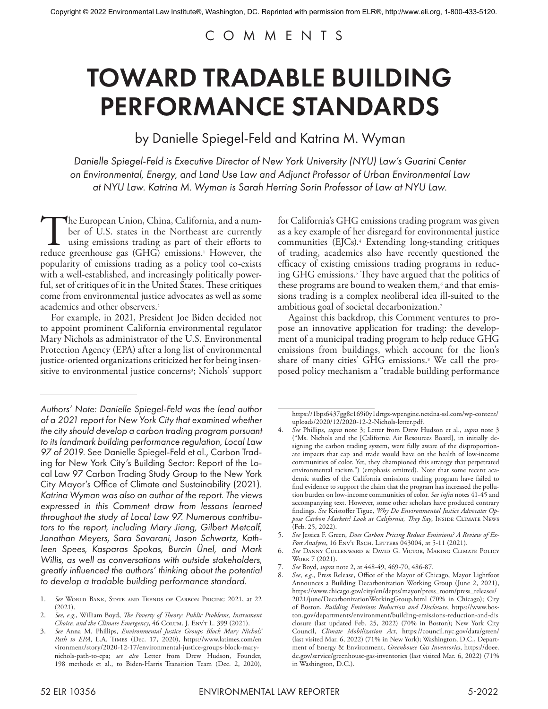## COMMENTS

# TOWARD TRADABLE BUILDING PERFORMANCE STANDARDS

by Danielle Spiegel-Feld and Katrina M. Wyman

*Danielle Spiegel-Feld is Executive Director of New York University (NYU) Law's Guarini Center on Environmental, Energy, and Land Use Law and Adjunct Professor of Urban Environmental Law at NYU Law. Katrina M. Wyman is Sarah Herring Sorin Professor of Law at NYU Law.*

The European Union, China, California, and a number of U.S. states in the Northeast are currently using emissions trading as part of their efforts to reduce greenhouse gas (GHG) emissions.<sup>1</sup> However, the ber of U.S. states in the Northeast are currently using emissions trading as part of their efforts to reduce greenhouse gas (GHG) emissions.<sup>1</sup> However, the popularity of emissions trading as a policy tool co-exists with a well-established, and increasingly politically powerful, set of critiques of it in the United States. These critiques come from environmental justice advocates as well as some academics and other observers.2

For example, in 2021, President Joe Biden decided not to appoint prominent California environmental regulator Mary Nichols as administrator of the U.S. Environmental Protection Agency (EPA) after a long list of environmental justice-oriented organizations criticized her for being insensitive to environmental justice concerns<sup>3</sup>; Nichols' support

*Authors' Note: Danielle Spiegel-Feld was the lead author of a 2021 report for New York City that examined whether the city should develop a carbon trading program pursuant to its landmark building performance regulation, Local Law 97 of 2019.* See Danielle Spiegel-Feld et al., Carbon Trading for New York City's Building Sector: Report of the Local Law 97 Carbon Trading Study Group to the New York City Mayor's Office of Climate and Sustainability (2021)*. Katrina Wyman was also an author of the report. The views expressed in this Comment draw from lessons learned throughout the study of Local Law 97. Numerous contributors to the report, including Mary Jiang, Gilbert Metcalf, Jonathan Meyers, Sara Savarani, Jason Schwartz, Kathleen Spees, Kasparas Spokas, Burcin Ünel, and Mark Willis, as well as conversations with outside stakeholders, greatly influenced the authors' thinking about the potential to develop a tradable building performance standard.*

1. *See* World Bank, State and Trends of Carbon Pricing 2021, at 22 (2021).

for California's GHG emissions trading program was given as a key example of her disregard for environmental justice communities (EJCs).4 Extending long-standing critiques of trading, academics also have recently questioned the efficacy of existing emissions trading programs in reducing GHG emissions.5 They have argued that the politics of these programs are bound to weaken them,<sup>6</sup> and that emissions trading is a complex neoliberal idea ill-suited to the ambitious goal of societal decarbonization.7

Against this backdrop, this Comment ventures to propose an innovative application for trading: the development of a municipal trading program to help reduce GHG emissions from buildings, which account for the lion's share of many cities' GHG emissions.<sup>8</sup> We call the proposed policy mechanism a "tradable building performance

https://1bps6437gg8c169i0y1drtgz-wpengine.netdna-ssl.com/wp-content/ uploads/2020/12/2020-12-2-Nichols-letter.pdf.

<sup>2.</sup> *See*, *e.g.*, William Boyd, *The Poverty of Theory: Public Problems, Instrument Choice, and the Climate Emergency*, 46 Colum. J. Env't L. 399 (2021).

<sup>3.</sup> *See* Anna M. Phillips, *Environmental Justice Groups Block Mary Nichols' Path to EPA*, L.A. Times (Dec. 17, 2020), https://www.latimes.com/en vironment/story/2020-12-17/environmental-justice-groups-block-marynichols-path-to-epa; *see also* Letter from Drew Hudson, Founder, 198 methods et al., to Biden-Harris Transition Team (Dec. 2, 2020),

<sup>4.</sup> *See* Phillips, *supra* note 3; Letter from Drew Hudson et al., *supra* note 3 ("Ms. Nichols and the [California Air Resources Board], in initially designing the carbon trading system, were fully aware of the disproportionate impacts that cap and trade would have on the health of low-income communities of color. Yet, they championed this strategy that perpetrated environmental racism.") (emphasis omitted). Note that some recent academic studies of the California emissions trading program have failed to find evidence to support the claim that the program has increased the pollution burden on low-income communities of color. *See infra* notes 41-45 and accompanying text. However, some other scholars have produced contrary findings. *See* Kristoffer Tigue, *Why Do Environmental Justice Advocates Op*pose Carbon Markets? Look at California, They Say, INSIDE CLIMATE News (Feb. 25, 2022).

<sup>5.</sup> *See* Jessica F. Green, *Does Carbon Pricing Reduce Emissions? A Review of Ex-*Post Analyses, 16 ENV<sup>T</sup> RSCH. LETTERS 043004, at 5-11 (2021).

<sup>6.</sup> *See* Danny Cullenward & David G. Victor, Making Climate Policy Work 7 (2021).

<sup>7.</sup> *See* Boyd, *supra* note 2, at 448-49, 469-70, 486-87.

<sup>8.</sup> *See*, *e.g.*, Press Release, Office of the Mayor of Chicago, Mayor Lightfoot Announces a Building Decarbonization Working Group (June 2, 2021), https://www.chicago.gov/city/en/depts/mayor/press\_room/press\_releases/ 2021/june/DecarbonizationWorkingGroup.html (70% in Chicago); City of Boston, *Building Emissions Reduction and Disclosure*, https://www.boston.gov/departments/environment/building-emissions-reduction-and-dis closure (last updated Feb. 25, 2022) (70% in Boston); New York City Council, *Climate Mobilization Act*, https://council.nyc.gov/data/green/ (last visited Mar. 6, 2022) (71% in New York); Washington, D.C., Department of Energy & Environment, *Greenhouse Gas Inventories*, https://doee. dc.gov/service/greenhouse-gas-inventories (last visited Mar. 6, 2022) (71% in Washington, D.C.).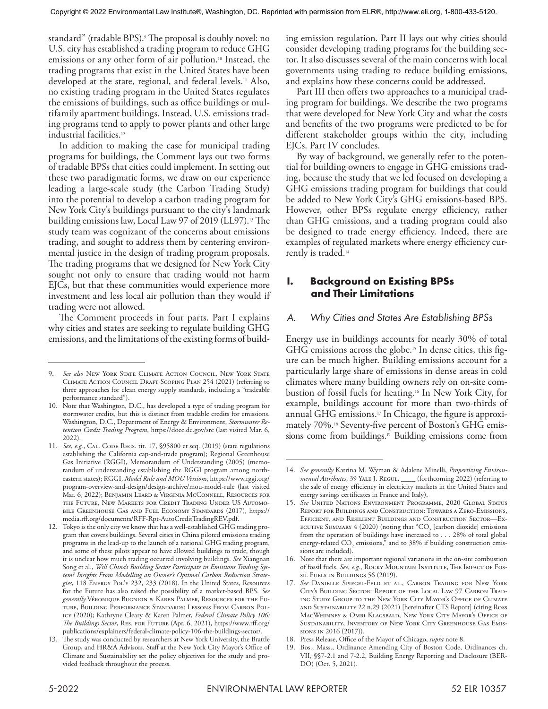standard" (tradable BPS).9 The proposal is doubly novel: no U.S. city has established a trading program to reduce GHG emissions or any other form of air pollution.<sup>10</sup> Instead, the trading programs that exist in the United States have been developed at the state, regional, and federal levels.<sup>11</sup> Also, no existing trading program in the United States regulates the emissions of buildings, such as office buildings or multifamily apartment buildings. Instead, U.S. emissions trading programs tend to apply to power plants and other large industrial facilities.<sup>12</sup>

In addition to making the case for municipal trading programs for buildings, the Comment lays out two forms of tradable BPSs that cities could implement. In setting out these two paradigmatic forms, we draw on our experience leading a large-scale study (the Carbon Trading Study) into the potential to develop a carbon trading program for New York City's buildings pursuant to the city's landmark building emissions law, Local Law 97 of 2019 (LL97).<sup>13</sup> The study team was cognizant of the concerns about emissions trading, and sought to address them by centering environmental justice in the design of trading program proposals. The trading programs that we designed for New York City sought not only to ensure that trading would not harm EJCs, but that these communities would experience more investment and less local air pollution than they would if trading were not allowed.

The Comment proceeds in four parts. Part I explains why cities and states are seeking to regulate building GHG emissions, and the limitations of the existing forms of build-

ing emission regulation. Part II lays out why cities should consider developing trading programs for the building sector. It also discusses several of the main concerns with local governments using trading to reduce building emissions, and explains how these concerns could be addressed.

Part III then offers two approaches to a municipal trading program for buildings. We describe the two programs that were developed for New York City and what the costs and benefits of the two programs were predicted to be for different stakeholder groups within the city, including EJCs. Part IV concludes.

By way of background, we generally refer to the potential for building owners to engage in GHG emissions trading, because the study that we led focused on developing a GHG emissions trading program for buildings that could be added to New York City's GHG emissions-based BPS. However, other BPSs regulate energy efficiency, rather than GHG emissions, and a trading program could also be designed to trade energy efficiency. Indeed, there are examples of regulated markets where energy efficiency currently is traded.<sup>14</sup>

## **I. Background on Existing BPSs and Their Limitations**

## *A. Why Cities and States Are Establishing BPSs*

Energy use in buildings accounts for nearly 30% of total GHG emissions across the globe.<sup>15</sup> In dense cities, this figure can be much higher. Building emissions account for a particularly large share of emissions in dense areas in cold climates where many building owners rely on on-site combustion of fossil fuels for heating.16 In New York City, for example, buildings account for more than two-thirds of annual GHG emissions.17 In Chicago, the figure is approximately 70%.<sup>18</sup> Seventy-five percent of Boston's GHG emissions come from buildings.<sup>19</sup> Building emissions come from

18. Press Release, Office of the Mayor of Chicago, *supra* note 8.

<sup>9.</sup> See also New York State Climate Action Council, New York State Climate Action Council Draft Scoping Plan 254 (2021) (referring to three approaches for clean energy supply standards, including a "tradeable performance standard").

<sup>10.</sup> Note that Washington, D.C., has developed a type of trading program for stormwater credits, but this is distinct from tradable credits for emissions. Washington, D.C., Department of Energy & Environment, *Stormwater Retention Credit Trading Program*, https://doee.dc.gov/src (last visited Mar. 6, 2022).

<sup>11.</sup> *See*, *e.g.*, CAL. CODE REGS. tit. 17, §95800 et seq. (2019) (state regulations establishing the California cap-and-trade program); Regional Greenhouse Gas Initiative (RGGI), Memorandum of Understanding (2005) (memorandum of understanding establishing the RGGI program among northeastern states); RGGI, *Model Rule and MOU Versions*, https://www.rggi.org/ program-overview-and-design/design-archive/mou-model-rule (last visited Mar. 6, 2022); Benjamin Leard & Virginia McConnell, Resources for the Future, New Markets for Credit Trading Under US Automobile Greenhouse Gas and Fuel Economy Standards (2017), https:// media.rff.org/documents/RFF-Rpt-AutoCreditTradingREV.pdf.

<sup>12.</sup> Tokyo is the only city we know that has a well-established GHG trading program that covers buildings. Several cities in China piloted emissions trading programs in the lead-up to the launch of a national GHG trading program, and some of these pilots appear to have allowed buildings to trade, though it is unclear how much trading occurred involving buildings. *See* Xiangnan Song et al., *Will China's Building Sector Participate in Emissions Trading System? Insights From Modelling an Owner's Optimal Carbon Reduction Strategies*, 118 Energy Pol'y 232, 233 (2018). In the United States, Resources for the Future has also raised the possibility of a market-based BPS. *See generally* Véronique Bugnion & Karen Palmer, Resources for the Future, Building Performance Standards: Lessons From Carbon Policy (2020); Kathryne Cleary & Karen Palmer, *Federal Climate Policy 106: The Buildings Sector*, Res. for Future (Apr. 6, 2021), https://www.rff.org/ publications/explainers/federal-climate-policy-106-the-buildings-sector/.

<sup>13.</sup> The study was conducted by researchers at New York University, the Brattle Group, and HR&A Advisors. Staff at the New York City Mayor's Office of Climate and Sustainability set the policy objectives for the study and provided feedback throughout the process.

<sup>14.</sup> *See generally* Katrina M. Wyman & Adalene Minelli, *Propertizing Environmental Attributes*, 39 Yale J. Regul. \_\_\_\_ (forthcoming 2022) (referring to the sale of energy efficiency in electricity markets in the United States and energy savings certificates in France and Italy).

<sup>15.</sup> *See* United Nations Environment Programme, 2020 Global Status Report for Buildings and Construction: Towards a Zero-Emissions, Efficient, and Resilient Buildings and Construction Sector—Ex-ECUTIVE SUMMARY  $4$  (2020) (noting that "CO<sub>2</sub> [carbon dioxide] emissions from the operation of buildings have increased to . . . 28% of total global energy-related  $\mathrm{CO}_2$  emissions," and to 38% if building construction emissions are included).

<sup>16.</sup> Note that there are important regional variations in the on-site combustion of fossil fuels. *See*, *e.g.*, Rocky Mountain Institute, The Impact of Fossil Fuels in Buildings 56 (2019).

<sup>17.</sup> *See* Danielle Spiegel-Feld et al., Carbon Trading for New York City's Building Sector: Report of the Local Law 97 Carbon Trading Study Group to the New York City Mayor's Office of Climate and Sustainability 22 n.29 (2021) [hereinafter CTS Report] (citing Ross MacWhinney & Omri Klagsbald, New York City Mayor's Office of SUSTAINABILITY, INVENTORY OF NEW YORK CITY GREENHOUSE GAS EMISsions in 2016 (2017)).

<sup>19.</sup> Bos., Mass., Ordinance Amending City of Boston Code, Ordinances ch. VII, §§7-2.1 and 7-2.2, Building Energy Reporting and Disclosure (BER-DO) (Oct. 5, 2021).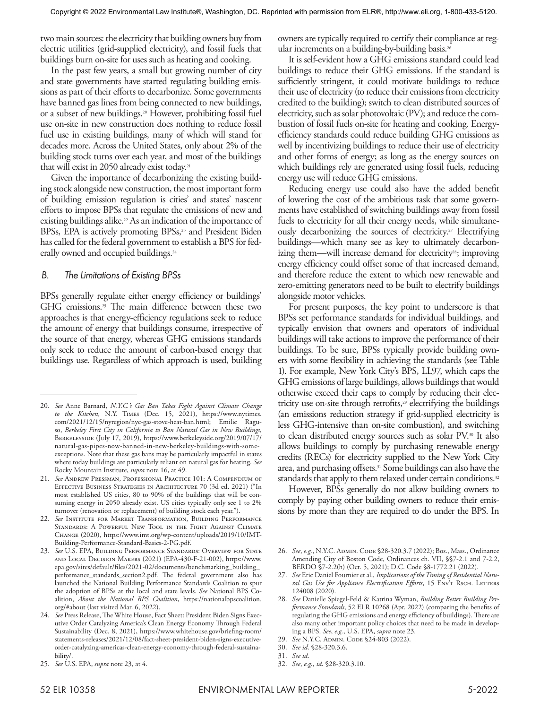two main sources: the electricity that building owners buy from electric utilities (grid-supplied electricity), and fossil fuels that buildings burn on-site for uses such as heating and cooking.

In the past few years, a small but growing number of city and state governments have started regulating building emissions as part of their efforts to decarbonize. Some governments have banned gas lines from being connected to new buildings, or a subset of new buildings.20 However, prohibiting fossil fuel use on-site in new construction does nothing to reduce fossil fuel use in existing buildings, many of which will stand for decades more. Across the United States, only about 2% of the building stock turns over each year, and most of the buildings that will exist in 2050 already exist today.<sup>21</sup>

Given the importance of decarbonizing the existing building stock alongside new construction, the most important form of building emission regulation is cities' and states' nascent efforts to impose BPSs that regulate the emissions of new and existing buildings alike.<sup>22</sup> As an indication of the importance of BPSs, EPA is actively promoting BPSs,<sup>23</sup> and President Biden has called for the federal government to establish a BPS for federally owned and occupied buildings.<sup>24</sup>

#### *B. The Limitations of Existing BPSs*

BPSs generally regulate either energy efficiency or buildings' GHG emissions.<sup>25</sup> The main difference between these two approaches is that energy-efficiency regulations seek to reduce the amount of energy that buildings consume, irrespective of the source of that energy, whereas GHG emissions standards only seek to reduce the amount of carbon-based energy that buildings use. Regardless of which approach is used, building owners are typically required to certify their compliance at regular increments on a building-by-building basis.<sup>26</sup>

It is self-evident how a GHG emissions standard could lead buildings to reduce their GHG emissions. If the standard is sufficiently stringent, it could motivate buildings to reduce their use of electricity (to reduce their emissions from electricity credited to the building); switch to clean distributed sources of electricity, such as solar photovoltaic (PV); and reduce the combustion of fossil fuels on-site for heating and cooking. Energyefficiency standards could reduce building GHG emissions as well by incentivizing buildings to reduce their use of electricity and other forms of energy; as long as the energy sources on which buildings rely are generated using fossil fuels, reducing energy use will reduce GHG emissions.

Reducing energy use could also have the added benefit of lowering the cost of the ambitious task that some governments have established of switching buildings away from fossil fuels to electricity for all their energy needs, while simultaneously decarbonizing the sources of electricity.<sup>27</sup> Electrifying buildings—which many see as key to ultimately decarbonizing them—will increase demand for electricity<sup>28</sup>; improving energy efficiency could offset some of that increased demand, and therefore reduce the extent to which new renewable and zero-emitting generators need to be built to electrify buildings alongside motor vehicles.

For present purposes, the key point to underscore is that BPSs set performance standards for individual buildings, and typically envision that owners and operators of individual buildings will take actions to improve the performance of their buildings. To be sure, BPSs typically provide building owners with some flexibility in achieving the standards (see Table 1). For example, New York City's BPS, LL97, which caps the GHG emissions of large buildings, allows buildings that would otherwise exceed their caps to comply by reducing their electricity use on-site through retrofits, $29$  electrifying the buildings (an emissions reduction strategy if grid-supplied electricity is less GHG-intensive than on-site combustion), and switching to clean distributed energy sources such as solar PV.30 It also allows buildings to comply by purchasing renewable energy credits (RECs) for electricity supplied to the New York City area, and purchasing offsets.31 Some buildings can also have the standards that apply to them relaxed under certain conditions.<sup>32</sup>

However, BPSs generally do not allow building owners to comply by paying other building owners to reduce their emissions by more than they are required to do under the BPS. In

32. *See*, *e.g.*, *id*. §28-320.3.10.

<sup>20.</sup> *See* Anne Barnard, *N.Y.C.'s Gas Ban Takes Fight Against Climate Change to the Kitchen*, N.Y. Times (Dec. 15, 2021), https://www.nytimes. com/2021/12/15/nyregion/nyc-gas-stove-heat-ban.html; Emilie Raguso, *Berkeley First City in California to Ban Natural Gas in New Buildings*, Berkeleyside (July 17, 2019), https://www.berkeleyside.org/2019/07/17/ natural-gas-pipes-now-banned-in-new-berkeley-buildings-with-someexceptions. Note that these gas bans may be particularly impactful in states where today buildings are particularly reliant on natural gas for heating. *See* Rocky Mountain Institute, *supra* note 16, at 49.

<sup>21.</sup> *See* Andrew Pressman, Professional Practice 101: A Compendium of Effective Business Strategies in Architecture 70 (3d ed. 2021) ("In most established US cities, 80 to 90% of the buildings that will be consuming energy in 2050 already exist. US cities typically only see 1 to 2% turnover (renovation or replacement) of building stock each year.").

<sup>22.</sup> *See* Institute for Market Transformation, Building Performance Standards: A Powerful New Tool in the Fight Against Climate Change (2020), https://www.imt.org/wp-content/uploads/2019/10/IMT-Building-Performance-Standard-Basics-2-PG.pdf.

<sup>23.</sup> *See* U.S. EPA, Building Performance Standards: Overview for State and Local Decision Makers (2021) (EPA-430-F-21-002), https://www. epa.gov/sites/default/files/2021-02/documents/benchmarking\_building\_ performance\_standards\_section2.pdf. The federal government also has launched the National Building Performance Standards Coalition to spur the adoption of BPSs at the local and state levels. *See* National BPS Coalition, *About the National BPS Coalition*, https://nationalbpscoalition. org/#about (last visited Mar. 6, 2022).

<sup>24.</sup> *See* Press Release, The White House, Fact Sheet: President Biden Signs Executive Order Catalyzing America's Clean Energy Economy Through Federal Sustainability (Dec. 8, 2021), https://www.whitehouse.gov/briefing-room/ statements-releases/2021/12/08/fact-sheet-president-biden-signs-executiveorder-catalyzing-americas-clean-energy-economy-through-federal-sustainability/.

<sup>25.</sup> *See* U.S. EPA, *supra* note 23, at 4.

<sup>26.</sup> See, e.g., N.Y.C. ADMIN. CODE §28-320.3.7 (2022); Bos., Mass., Ordinance Amending City of Boston Code, Ordinances ch. VII, §§7-2.1 and 7-2.2, BERDO §7-2.2(h) (Oct. 5, 2021); D.C. Code §8-1772.21 (2022).

<sup>27.</sup> *See* Eric Daniel Fournier et al., *Implications of the Timing of Residential Natu*ral Gas Use for Appliance Electrification Efforts, 15 ENVT RSCH. LETTERS 124008 (2020).

<sup>28.</sup> *See* Danielle Spiegel-Feld & Katrina Wyman, *Building Better Building Performance Standards*, 52 ELR 10268 (Apr. 2022) (comparing the benefits of regulating the GHG emissions and energy efficiency of buildings). There are also many other important policy choices that need to be made in developing a BPS. *See*, *e.g.*, U.S. EPA, *supra* note 23.

<sup>29.</sup> *See* N.Y.C. ADMIN. Соре §24-803 (2022).

<sup>30.</sup> *See id*. §28-320.3.6.

<sup>31.</sup> *See id*.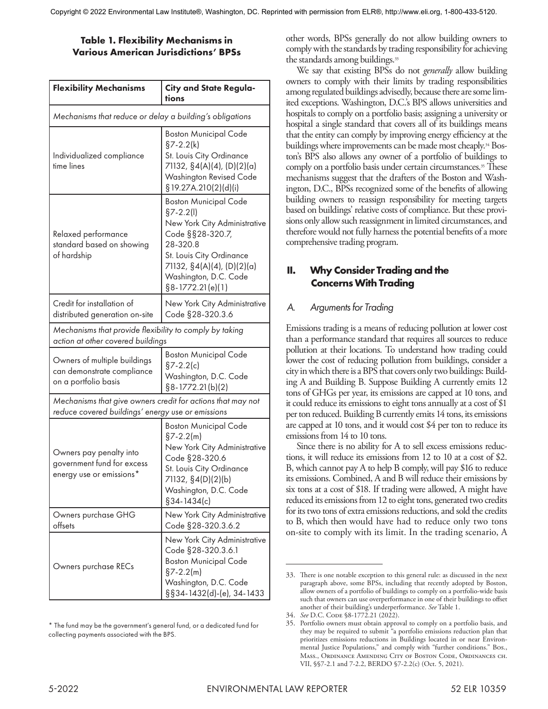## **Table 1. Flexibility Mechanisms in Various American Jurisdictions' BPSs**

| <b>Flexibility Mechanisms</b>                                                                                    | <b>City and State Regula-</b><br>tions                                                                                                                                                                                 |
|------------------------------------------------------------------------------------------------------------------|------------------------------------------------------------------------------------------------------------------------------------------------------------------------------------------------------------------------|
| Mechanisms that reduce or delay a building's obligations                                                         |                                                                                                                                                                                                                        |
| Individualized compliance<br>time lines                                                                          | <b>Boston Municipal Code</b><br>$§7 - 2.2(k)$<br>St. Louis City Ordinance<br>71132, §4(A)(4), (D)(2)(a)<br>Washington Revised Code<br>§19.27A.210(2)(d)(i)                                                             |
| Relaxed performance<br>standard based on showing<br>of hardship                                                  | <b>Boston Municipal Code</b><br>$§7 - 2.2(1)$<br>New York City Administrative<br>Code §§28-320.7,<br>28-320.8<br>St. Louis City Ordinance<br>71132, §4(A)(4), (D)(2)(a)<br>Washington, D.C. Code<br>$§8-1772.21(e)(1)$ |
| Credit for installation of<br>distributed generation on-site                                                     | New York City Administrative<br>Code §28-320.3.6                                                                                                                                                                       |
| Mechanisms that provide flexibility to comply by taking<br>action at other covered buildings                     |                                                                                                                                                                                                                        |
| Owners of multiple buildings<br>can demonstrate compliance<br>on a portfolio basis                               | <b>Boston Municipal Code</b><br>$§7 - 2.2(c)$<br>Washington, D.C. Code<br>$§8-1772.21(b)(2)$                                                                                                                           |
| Mechanisms that give owners credit for actions that may not<br>reduce covered buildings' energy use or emissions |                                                                                                                                                                                                                        |
| Owners pay penalty into<br>government fund for excess<br>energy use or emissions*                                | <b>Boston Municipal Code</b><br>$\S7-2.2(m)$<br>New York City Administrative<br>Code §28-320.6<br>St. Louis City Ordinance<br>71132, §4(D)(2)(b)<br>Washington, D.C. Code<br>$§34 - 1434(c)$                           |
| Owners purchase GHG<br>offsets                                                                                   | New York City Administrative<br>Code §28-320.3.6.2                                                                                                                                                                     |
| Owners purchase RECs                                                                                             | New York City Administrative<br>Code §28-320.3.6.1<br><b>Boston Municipal Code</b><br>$\S7-2.2(m)$<br>Washington, D.C. Code<br>§§34-1432(d)-(e), 34-1433                                                               |

\* The fund may be the government's general fund, or a dedicated fund for collecting payments associated with the BPS.

other words, BPSs generally do not allow building owners to comply with the standards by trading responsibility for achieving the standards among buildings.<sup>33</sup>

We say that existing BPSs do not *generally* allow building owners to comply with their limits by trading responsibilities among regulated buildings advisedly, because there are some limited exceptions. Washington, D.C.'s BPS allows universities and hospitals to comply on a portfolio basis; assigning a university or hospital a single standard that covers all of its buildings means that the entity can comply by improving energy efficiency at the buildings where improvements can be made most cheaply.<sup>34</sup> Boston's BPS also allows any owner of a portfolio of buildings to comply on a portfolio basis under certain circumstances.<sup>35</sup> These mechanisms suggest that the drafters of the Boston and Washington, D.C., BPSs recognized some of the benefits of allowing building owners to reassign responsibility for meeting targets based on buildings' relative costs of compliance. But these provisions only allow such reassignment in limited circumstances, and therefore would not fully harness the potential benefits of a more comprehensive trading program.

## **II. Why Consider Trading and the Concerns With Trading**

## *A. Arguments for Trading*

Emissions trading is a means of reducing pollution at lower cost than a performance standard that requires all sources to reduce pollution at their locations. To understand how trading could lower the cost of reducing pollution from buildings, consider a city in which there is a BPS that covers only two buildings: Building A and Building B. Suppose Building A currently emits 12 tons of GHGs per year, its emissions are capped at 10 tons, and it could reduce its emissions to eight tons annually at a cost of \$1 per ton reduced. Building B currently emits 14 tons, its emissions are capped at 10 tons, and it would cost \$4 per ton to reduce its emissions from 14 to 10 tons.

Since there is no ability for A to sell excess emissions reductions, it will reduce its emissions from 12 to 10 at a cost of \$2. B, which cannot pay A to help B comply, will pay \$16 to reduce its emissions. Combined, A and B will reduce their emissions by six tons at a cost of \$18. If trading were allowed, A might have reduced its emissions from 12 to eight tons, generated two credits for its two tons of extra emissions reductions, and sold the credits to B, which then would have had to reduce only two tons on-site to comply with its limit. In the trading scenario, A

<sup>33.</sup> There is one notable exception to this general rule: as discussed in the next paragraph above, some BPSs, including that recently adopted by Boston, allow owners of a portfolio of buildings to comply on a portfolio-wide basis such that owners can use overperformance in one of their buildings to offset another of their building's underperformance. *See* Table 1.

<sup>34.</sup> *See* D.C. CODE §8-1772.21 (2022).

<sup>35.</sup> Portfolio owners must obtain approval to comply on a portfolio basis, and they may be required to submit "a portfolio emissions reduction plan that prioritizes emissions reductions in Buildings located in or near Environmental Justice Populations," and comply with "further conditions." Bos., Mass., Ordinance Amending City of Boston Code, Ordinances ch. VII, §§7-2.1 and 7-2.2, BERDO §7-2.2(c) (Oct. 5, 2021).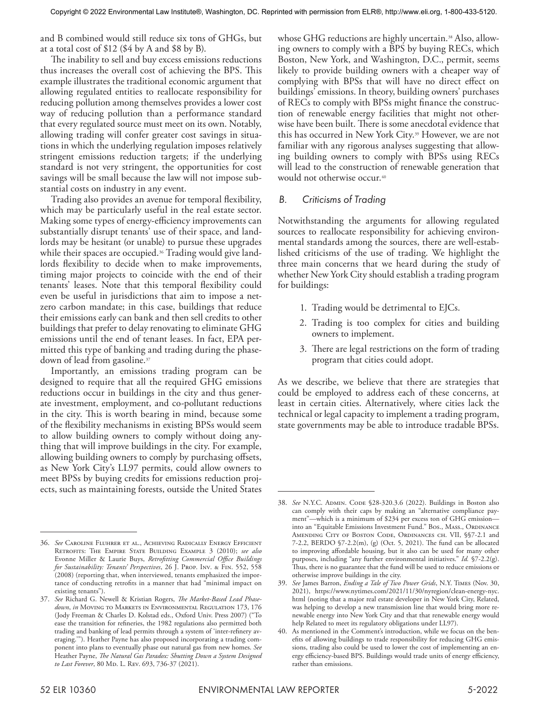and B combined would still reduce six tons of GHGs, but at a total cost of \$12 (\$4 by A and \$8 by B).

The inability to sell and buy excess emissions reductions thus increases the overall cost of achieving the BPS. This example illustrates the traditional economic argument that allowing regulated entities to reallocate responsibility for reducing pollution among themselves provides a lower cost way of reducing pollution than a performance standard that every regulated source must meet on its own. Notably, allowing trading will confer greater cost savings in situations in which the underlying regulation imposes relatively stringent emissions reduction targets; if the underlying standard is not very stringent, the opportunities for cost savings will be small because the law will not impose substantial costs on industry in any event.

Trading also provides an avenue for temporal flexibility, which may be particularly useful in the real estate sector. Making some types of energy-efficiency improvements can substantially disrupt tenants' use of their space, and landlords may be hesitant (or unable) to pursue these upgrades while their spaces are occupied.<sup>36</sup> Trading would give landlords flexibility to decide when to make improvements, timing major projects to coincide with the end of their tenants' leases. Note that this temporal flexibility could even be useful in jurisdictions that aim to impose a netzero carbon mandate; in this case, buildings that reduce their emissions early can bank and then sell credits to other buildings that prefer to delay renovating to eliminate GHG emissions until the end of tenant leases. In fact, EPA permitted this type of banking and trading during the phasedown of lead from gasoline.37

Importantly, an emissions trading program can be designed to require that all the required GHG emissions reductions occur in buildings in the city and thus generate investment, employment, and co-pollutant reductions in the city. This is worth bearing in mind, because some of the flexibility mechanisms in existing BPSs would seem to allow building owners to comply without doing anything that will improve buildings in the city. For example, allowing building owners to comply by purchasing offsets, as New York City's LL97 permits, could allow owners to meet BPSs by buying credits for emissions reduction projects, such as maintaining forests, outside the United States whose GHG reductions are highly uncertain.<sup>38</sup> Also, allowing owners to comply with a BPS by buying RECs, which Boston, New York, and Washington, D.C., permit, seems likely to provide building owners with a cheaper way of complying with BPSs that will have no direct effect on buildings' emissions. In theory, building owners' purchases of RECs to comply with BPSs might finance the construction of renewable energy facilities that might not otherwise have been built. There is some anecdotal evidence that this has occurred in New York City.39 However, we are not familiar with any rigorous analyses suggesting that allowing building owners to comply with BPSs using RECs will lead to the construction of renewable generation that would not otherwise occur.<sup>40</sup>

## *B. Criticisms of Trading*

Notwithstanding the arguments for allowing regulated sources to reallocate responsibility for achieving environmental standards among the sources, there are well-established criticisms of the use of trading. We highlight the three main concerns that we heard during the study of whether New York City should establish a trading program for buildings:

- 1. Trading would be detrimental to EJCs.
- 2. Trading is too complex for cities and building owners to implement.
- 3. There are legal restrictions on the form of trading program that cities could adopt.

As we describe, we believe that there are strategies that could be employed to address each of these concerns, at least in certain cities. Alternatively, where cities lack the technical or legal capacity to implement a trading program, state governments may be able to introduce tradable BPSs.

<sup>36.</sup> *See* Caroline Fluhrer et al., Achieving Radically Energy Efficient Retrofits: The Empire State Building Example 3 (2010); *see also* Evonne Miller & Laurie Buys, *Retrofitting Commercial Office Buildings for Sustainability: Tenants' Perspectives*, 26 J. Prop. Inv. & Fin. 552, 558 (2008) (reporting that, when interviewed, tenants emphasized the importance of conducting retrofits in a manner that had "minimal impact on existing tenants").

<sup>37.</sup> *See* Richard G. Newell & Kristian Rogers, *The Market-Based Lead Phasedown*, *in* Moving to Markets in Environmental Regulation 173, 176 (Jody Freeman & Charles D. Kolstad eds., Oxford Univ. Press 2007) ("To ease the transition for refineries, the 1982 regulations also permitted both trading and banking of lead permits through a system of 'inter-refinery averaging.'"). Heather Payne has also proposed incorporating a trading component into plans to eventually phase out natural gas from new homes. *See* Heather Payne, *The Natural Gas Paradox: Shutting Down a System Designed*  to Last Forever, 80 Mp. L. Rev. 693, 736-37 (2021).

<sup>38.</sup> See N.Y.C. ADMIN. CODE §28-320.3.6 (2022). Buildings in Boston also can comply with their caps by making an "alternative compliance payment"—which is a minimum of \$234 per excess ton of GHG emission into an "Equitable Emissions Investment Fund." Bos., Mass., ORDINANCE AMENDING CITY OF BOSTON CODE, ORDINANCES CH. VII, §§7-2.1 and 7-2.2, BERDO §7-2.2(m), (g) (Oct. 5, 2021). The fund can be allocated to improving affordable housing, but it also can be used for many other purposes, including "any further environmental initiatives." *Id.* §7-2.2(g). Thus, there is no guarantee that the fund will be used to reduce emissions or otherwise improve buildings in the city.

<sup>39.</sup> *See* James Barron, *Ending a Tale of Two Power Grids*, N.Y. Times (Nov. 30, 2021), https://www.nytimes.com/2021/11/30/nyregion/clean-energy-nyc. html (noting that a major real estate developer in New York City, Related, was helping to develop a new transmission line that would bring more renewable energy into New York City and that that renewable energy would help Related to meet its regulatory obligations under LL97).

<sup>40.</sup> As mentioned in the Comment's introduction, while we focus on the benefits of allowing buildings to trade responsibility for reducing GHG emissions, trading also could be used to lower the cost of implementing an energy efficiency-based BPS. Buildings would trade units of energy efficiency, rather than emissions.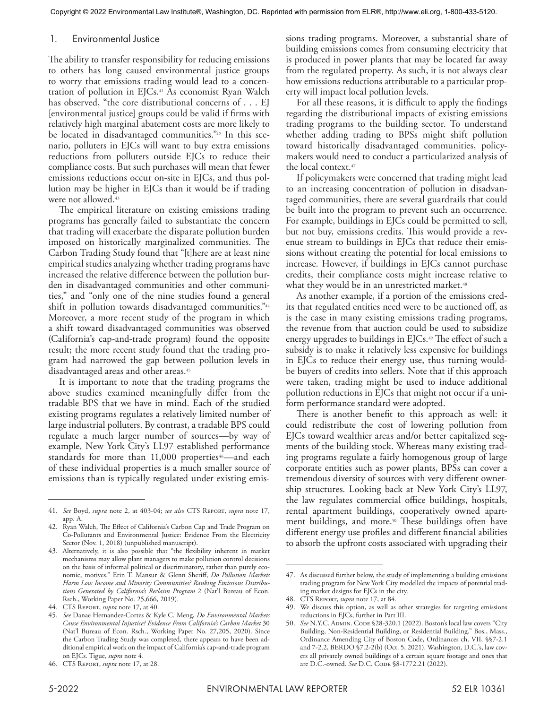#### 1. Environmental Justice

The ability to transfer responsibility for reducing emissions to others has long caused environmental justice groups to worry that emissions trading would lead to a concentration of pollution in EJCs.<sup>41</sup> As economist Ryan Walch has observed, "the core distributional concerns of . . . EJ [environmental justice] groups could be valid if firms with relatively high marginal abatement costs are more likely to be located in disadvantaged communities."42 In this scenario, polluters in EJCs will want to buy extra emissions reductions from polluters outside EJCs to reduce their compliance costs. But such purchases will mean that fewer emissions reductions occur on-site in EJCs, and thus pollution may be higher in EJCs than it would be if trading were not allowed.<sup>43</sup>

The empirical literature on existing emissions trading programs has generally failed to substantiate the concern that trading will exacerbate the disparate pollution burden imposed on historically marginalized communities. The Carbon Trading Study found that "[t]here are at least nine empirical studies analyzing whether trading programs have increased the relative difference between the pollution burden in disadvantaged communities and other communities," and "only one of the nine studies found a general shift in pollution towards disadvantaged communities."44 Moreover, a more recent study of the program in which a shift toward disadvantaged communities was observed (California's cap-and-trade program) found the opposite result; the more recent study found that the trading program had narrowed the gap between pollution levels in disadvantaged areas and other areas.<sup>45</sup>

It is important to note that the trading programs the above studies examined meaningfully differ from the tradable BPS that we have in mind. Each of the studied existing programs regulates a relatively limited number of large industrial polluters. By contrast, a tradable BPS could regulate a much larger number of sources—by way of example, New York City's LL97 established performance standards for more than 11,000 properties<sup>46</sup>—and each of these individual properties is a much smaller source of emissions than is typically regulated under existing emis-

sions trading programs. Moreover, a substantial share of building emissions comes from consuming electricity that is produced in power plants that may be located far away from the regulated property. As such, it is not always clear how emissions reductions attributable to a particular property will impact local pollution levels.

For all these reasons, it is difficult to apply the findings regarding the distributional impacts of existing emissions trading programs to the building sector. To understand whether adding trading to BPSs might shift pollution toward historically disadvantaged communities, policymakers would need to conduct a particularized analysis of the local context.<sup>47</sup>

If policymakers were concerned that trading might lead to an increasing concentration of pollution in disadvantaged communities, there are several guardrails that could be built into the program to prevent such an occurrence. For example, buildings in EJCs could be permitted to sell, but not buy, emissions credits. This would provide a revenue stream to buildings in EJCs that reduce their emissions without creating the potential for local emissions to increase. However, if buildings in EJCs cannot purchase credits, their compliance costs might increase relative to what they would be in an unrestricted market.<sup>48</sup>

As another example, if a portion of the emissions credits that regulated entities need were to be auctioned off, as is the case in many existing emissions trading programs, the revenue from that auction could be used to subsidize energy upgrades to buildings in EJCs.<sup>49</sup> The effect of such a subsidy is to make it relatively less expensive for buildings in EJCs to reduce their energy use, thus turning wouldbe buyers of credits into sellers. Note that if this approach were taken, trading might be used to induce additional pollution reductions in EJCs that might not occur if a uniform performance standard were adopted.

There is another benefit to this approach as well: it could redistribute the cost of lowering pollution from EJCs toward wealthier areas and/or better capitalized segments of the building stock. Whereas many existing trading programs regulate a fairly homogenous group of large corporate entities such as power plants, BPSs can cover a tremendous diversity of sources with very different ownership structures. Looking back at New York City's LL97, the law regulates commercial office buildings, hospitals, rental apartment buildings, cooperatively owned apartment buildings, and more.<sup>50</sup> These buildings often have different energy use profiles and different financial abilities to absorb the upfront costs associated with upgrading their

<sup>41.</sup> *See* Boyd, *supra* note 2, at 403-04; *see also* CTS Report, *supra* note 17, app. A.

<sup>42.</sup> Ryan Walch, The Effect of California's Carbon Cap and Trade Program on Co-Pollutants and Environmental Justice: Evidence From the Electricity Sector (Nov. 1, 2018) (unpublished manuscript).

<sup>43.</sup> Alternatively, it is also possible that "the flexibility inherent in market mechanisms may allow plant managers to make pollution control decisions on the basis of informal political or discriminatory, rather than purely economic, motives." Erin T. Mansur & Glenn Sheriff, *Do Pollution Markets Harm Low Income and Minority Communities? Ranking Emissions Distributions Generated by California's Reclaim Program* 2 (Nat'l Bureau of Econ. Rsch., Working Paper No. 25,666, 2019).

<sup>44.</sup> CTS Report, *supra* note 17, at 40.

<sup>45.</sup> *See* Danae Hernandez-Cortes & Kyle C. Meng, *Do Environmental Markets Cause Environmental Injustice? Evidence From California's Carbon Market* 30 (Nat'l Bureau of Econ. Rsch., Working Paper No. 27,205, 2020). Since the Carbon Trading Study was completed, there appears to have been additional empirical work on the impact of California's cap-and-trade program on EJCs. Tigue, *supra* note 4.

<sup>46.</sup> CTS Report, *supra* note 17, at 28.

<sup>47.</sup> As discussed further below, the study of implementing a building emissions trading program for New York City modelled the impacts of potential trading market designs for EJCs in the city.

<sup>48.</sup> CTS Report, *supra* note 17, at 84.

<sup>49.</sup> We discuss this option, as well as other strategies for targeting emissions reductions in EJCs, further in Part III.

<sup>50.</sup> *See* N.Y.C. ADMIN. CODE §28-320.1 (2022). Boston's local law covers "City Building, Non-Residential Building, or Residential Building." Bos., Mass., Ordinance Amending City of Boston Code, Ordinances ch. VII, §§7-2.1 and 7-2.2, BERDO §7.2-2(b) (Oct. 5, 2021). Washington, D.C.'s, law covers all privately owned buildings of a certain square footage and ones that are D.C.-owned. See D.C. Code §8-1772.21 (2022).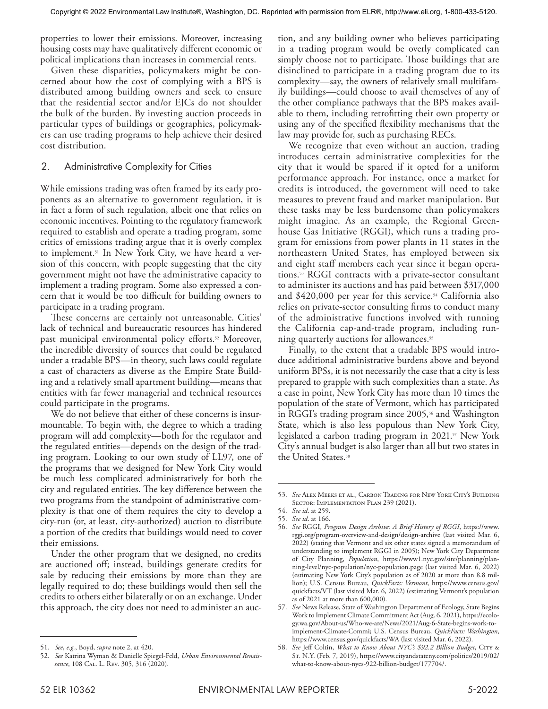properties to lower their emissions. Moreover, increasing housing costs may have qualitatively different economic or political implications than increases in commercial rents.

Given these disparities, policymakers might be concerned about how the cost of complying with a BPS is distributed among building owners and seek to ensure that the residential sector and/or EJCs do not shoulder the bulk of the burden. By investing auction proceeds in particular types of buildings or geographies, policymakers can use trading programs to help achieve their desired cost distribution.

#### 2. Administrative Complexity for Cities

While emissions trading was often framed by its early proponents as an alternative to government regulation, it is in fact a form of such regulation, albeit one that relies on economic incentives. Pointing to the regulatory framework required to establish and operate a trading program, some critics of emissions trading argue that it is overly complex to implement.<sup>51</sup> In New York City, we have heard a version of this concern, with people suggesting that the city government might not have the administrative capacity to implement a trading program. Some also expressed a concern that it would be too difficult for building owners to participate in a trading program.

These concerns are certainly not unreasonable. Cities' lack of technical and bureaucratic resources has hindered past municipal environmental policy efforts.<sup>52</sup> Moreover, the incredible diversity of sources that could be regulated under a tradable BPS—in theory, such laws could regulate a cast of characters as diverse as the Empire State Building and a relatively small apartment building—means that entities with far fewer managerial and technical resources could participate in the programs.

We do not believe that either of these concerns is insurmountable. To begin with, the degree to which a trading program will add complexity—both for the regulator and the regulated entities—depends on the design of the trading program. Looking to our own study of LL97, one of the programs that we designed for New York City would be much less complicated administratively for both the city and regulated entities. The key difference between the two programs from the standpoint of administrative complexity is that one of them requires the city to develop a city-run (or, at least, city-authorized) auction to distribute a portion of the credits that buildings would need to cover their emissions.

Under the other program that we designed, no credits are auctioned off; instead, buildings generate credits for sale by reducing their emissions by more than they are legally required to do; these buildings would then sell the credits to others either bilaterally or on an exchange. Under this approach, the city does not need to administer an auction, and any building owner who believes participating in a trading program would be overly complicated can simply choose not to participate. Those buildings that are disinclined to participate in a trading program due to its complexity—say, the owners of relatively small multifamily buildings—could choose to avail themselves of any of the other compliance pathways that the BPS makes available to them, including retrofitting their own property or using any of the specified flexibility mechanisms that the law may provide for, such as purchasing RECs.

We recognize that even without an auction, trading introduces certain administrative complexities for the city that it would be spared if it opted for a uniform performance approach. For instance, once a market for credits is introduced, the government will need to take measures to prevent fraud and market manipulation. But these tasks may be less burdensome than policymakers might imagine. As an example, the Regional Greenhouse Gas Initiative (RGGI), which runs a trading program for emissions from power plants in 11 states in the northeastern United States, has employed between six and eight staff members each year since it began operations.53 RGGI contracts with a private-sector consultant to administer its auctions and has paid between \$317,000 and  $$420,000$  per year for this service.<sup>54</sup> California also relies on private-sector consulting firms to conduct many of the administrative functions involved with running the California cap-and-trade program, including running quarterly auctions for allowances.<sup>55</sup>

Finally, to the extent that a tradable BPS would introduce additional administrative burdens above and beyond uniform BPSs, it is not necessarily the case that a city is less prepared to grapple with such complexities than a state. As a case in point, New York City has more than 10 times the population of the state of Vermont, which has participated in RGGI's trading program since  $2005$ ,<sup>56</sup> and Washington State, which is also less populous than New York City, legislated a carbon trading program in 2021.<sup>57</sup> New York City's annual budget is also larger than all but two states in the United States.<sup>58</sup>

<sup>51.</sup> *See*, *e.g.*, Boyd, *supra* note 2, at 420.

<sup>52.</sup> *See* Katrina Wyman & Danielle Spiegel-Feld, *Urban Environmental Renais*sance, 108 CAL. L. REV. 305, 316 (2020).

<sup>53.</sup> *See* Alex Meeks et al., Carbon Trading for New York City's Building SECTOR: IMPLEMENTATION PLAN 239 (2021).

<sup>54.</sup> *See id*. at 259. 55. *See id*. at 166.

<sup>56.</sup> *See* RGGI, *Program Design Archive: A Brief History of RGGI*, https://www. rggi.org/program-overview-and-design/design-archive (last visited Mar. 6, 2022) (stating that Vermont and six other states signed a memorandum of understanding to implement RGGI in 2005); New York City Department of City Planning, *Population*, https://www1.nyc.gov/site/planning/planning-level/nyc-population/nyc-population.page (last visited Mar. 6, 2022) (estimating New York City's population as of 2020 at more than 8.8 million); U.S. Census Bureau, *QuickFacts: Vermont*, https://www.census.gov/ quickfacts/VT (last visited Mar. 6, 2022) (estimating Vermont's population as of 2021 at more than 600,000).

<sup>57.</sup> *See* News Release, State of Washington Department of Ecology, State Begins Work to Implement Climate Commitment Act (Aug. 6, 2021), https://ecology.wa.gov/About-us/Who-we-are/News/2021/Aug-6-State-begins-work-toimplement-Climate-Commi; U.S. Census Bureau, *QuickFacts: Washington*, https://www.census.gov/quickfacts/WA (last visited Mar. 6, 2022).

<sup>58.</sup> *See* Jeff Coltin, *What to Know About NYC's \$92.2 Billion Budget*, City & St. N.Y. (Feb. 7, 2019), https://www.cityandstateny.com/politics/2019/02/ what-to-know-about-nycs-922-billion-budget/177704/.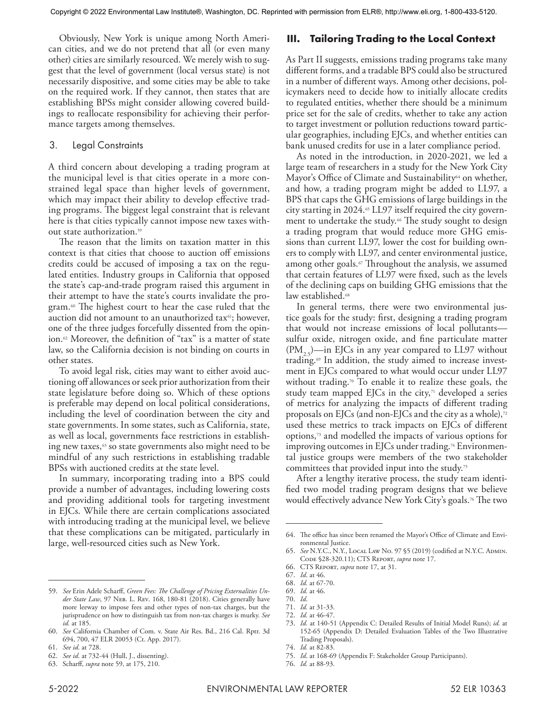Obviously, New York is unique among North American cities, and we do not pretend that all (or even many other) cities are similarly resourced. We merely wish to suggest that the level of government (local versus state) is not necessarily dispositive, and some cities may be able to take on the required work. If they cannot, then states that are establishing BPSs might consider allowing covered buildings to reallocate responsibility for achieving their performance targets among themselves.

#### 3. Legal Constraints

A third concern about developing a trading program at the municipal level is that cities operate in a more constrained legal space than higher levels of government, which may impact their ability to develop effective trading programs. The biggest legal constraint that is relevant here is that cities typically cannot impose new taxes without state authorization.59

The reason that the limits on taxation matter in this context is that cities that choose to auction off emissions credits could be accused of imposing a tax on the regulated entities. Industry groups in California that opposed the state's cap-and-trade program raised this argument in their attempt to have the state's courts invalidate the program.60 The highest court to hear the case ruled that the auction did not amount to an unauthorized tax<sup>61</sup>; however, one of the three judges forcefully dissented from the opinion.<sup>62</sup> Moreover, the definition of "tax" is a matter of state law, so the California decision is not binding on courts in other states.

To avoid legal risk, cities may want to either avoid auctioning off allowances or seek prior authorization from their state legislature before doing so. Which of these options is preferable may depend on local political considerations, including the level of coordination between the city and state governments. In some states, such as California, state, as well as local, governments face restrictions in establishing new taxes, $63$  so state governments also might need to be mindful of any such restrictions in establishing tradable BPSs with auctioned credits at the state level.

In summary, incorporating trading into a BPS could provide a number of advantages, including lowering costs and providing additional tools for targeting investment in EJCs. While there are certain complications associated with introducing trading at the municipal level, we believe that these complications can be mitigated, particularly in large, well-resourced cities such as New York.

## **III. Tailoring Trading to the Local Context**

As Part II suggests, emissions trading programs take many different forms, and a tradable BPS could also be structured in a number of different ways. Among other decisions, policymakers need to decide how to initially allocate credits to regulated entities, whether there should be a minimum price set for the sale of credits, whether to take any action to target investment or pollution reductions toward particular geographies, including EJCs, and whether entities can bank unused credits for use in a later compliance period.

As noted in the introduction, in 2020-2021, we led a large team of researchers in a study for the New York City Mayor's Office of Climate and Sustainability<sup>64</sup> on whether, and how, a trading program might be added to LL97, a BPS that caps the GHG emissions of large buildings in the city starting in 2024. $\sigma$  LL97 itself required the city government to undertake the study.<sup>66</sup> The study sought to design a trading program that would reduce more GHG emissions than current LL97, lower the cost for building owners to comply with LL97, and center environmental justice, among other goals. $\sigma$  Throughout the analysis, we assumed that certain features of LL97 were fixed, such as the levels of the declining caps on building GHG emissions that the law established.<sup>68</sup>

In general terms, there were two environmental justice goals for the study: first, designing a trading program that would not increase emissions of local pollutants sulfur oxide, nitrogen oxide, and fine particulate matter  $(PM, \zeta)$ —in EJCs in any year compared to LL97 without trading.<sup>69</sup> In addition, the study aimed to increase investment in EJCs compared to what would occur under LL97 without trading.<sup>70</sup> To enable it to realize these goals, the study team mapped EJCs in the city, $71$  developed a series of metrics for analyzing the impacts of different trading proposals on EJCs (and non-EJCs and the city as a whole), $72$ used these metrics to track impacts on EJCs of different options,73 and modelled the impacts of various options for improving outcomes in  $E/Cs$  under trading.<sup>74</sup> Environmental justice groups were members of the two stakeholder committees that provided input into the study.<sup>75</sup>

After a lengthy iterative process, the study team identified two model trading program designs that we believe would effectively advance New York City's goals.<sup>76</sup> The two

70. *Id*.

72. *Id.* at 46-47.

76. *Id.* at 88-93.

<sup>59.</sup> *See* Erin Adele Scharff, *Green Fees: The Challenge of Pricing Externalities Under State Law*, 97 Neb. L. Rev. 168, 180-81 (2018). Cities generally have more leeway to impose fees and other types of non-tax charges, but the jurisprudence on how to distinguish tax from non-tax charges is murky. *See id.* at 185.

<sup>60.</sup> *See* California Chamber of Com. v. State Air Res. Bd., 216 Cal. Rptr. 3d 694, 700, 47 ELR 20053 (Ct. App. 2017).

<sup>61.</sup> *See id*. at 728.

<sup>62.</sup> *See id*. at 732-44 (Hull, J., dissenting).

<sup>63.</sup> Scharff, *supra* note 59, at 175, 210.

<sup>64.</sup> The office has since been renamed the Mayor's Office of Climate and Environmental Justice.

<sup>65.</sup> *See* N.Y.C., N.Y., LOCAL LAW No. 97 §5 (2019) (codified at N.Y.C. АDMIN. Code §28-320.11); CTS Report, *supra* note 17.

<sup>66.</sup> CTS Report, *supra* note 17, at 31.

<sup>67.</sup> *Id*. at 46.

<sup>68.</sup> *Id.* at 67-70.

<sup>69.</sup> *Id.* at 46.

<sup>71.</sup> *Id.* at 31-33.

<sup>73.</sup> *Id.* at 140-51 (Appendix C: Detailed Results of Initial Model Runs); *id.* at 152-65 (Appendix D: Detailed Evaluation Tables of the Two Illustrative Trading Proposals).

<sup>74.</sup> *Id.* at 82-83.

<sup>75.</sup> *Id*. at 168-69 (Appendix F: Stakeholder Group Participants).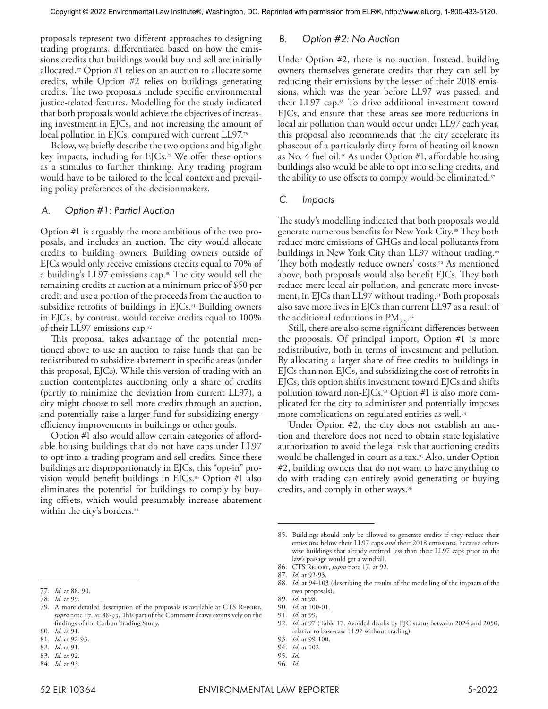proposals represent two different approaches to designing trading programs, differentiated based on how the emissions credits that buildings would buy and sell are initially allocated.77 Option #1 relies on an auction to allocate some credits, while Option #2 relies on buildings generating credits. The two proposals include specific environmental justice-related features. Modelling for the study indicated that both proposals would achieve the objectives of increasing investment in EJCs, and not increasing the amount of local pollution in EJCs, compared with current LL97.78

Below, we briefly describe the two options and highlight key impacts, including for EJCs.79 We offer these options as a stimulus to further thinking. Any trading program would have to be tailored to the local context and prevailing policy preferences of the decisionmakers.

#### *A. Option #1: Partial Auction*

Option #1 is arguably the more ambitious of the two proposals, and includes an auction. The city would allocate credits to building owners. Building owners outside of EJCs would only receive emissions credits equal to 70% of a building's LL97 emissions cap.<sup>80</sup> The city would sell the remaining credits at auction at a minimum price of \$50 per credit and use a portion of the proceeds from the auction to subsidize retrofits of buildings in  $E/Cs$ .<sup>81</sup> Building owners in EJCs, by contrast, would receive credits equal to 100% of their LL97 emissions cap.82

This proposal takes advantage of the potential mentioned above to use an auction to raise funds that can be redistributed to subsidize abatement in specific areas (under this proposal, EJCs). While this version of trading with an auction contemplates auctioning only a share of credits (partly to minimize the deviation from current LL97), a city might choose to sell more credits through an auction, and potentially raise a larger fund for subsidizing energyefficiency improvements in buildings or other goals.

Option #1 also would allow certain categories of affordable housing buildings that do not have caps under LL97 to opt into a trading program and sell credits. Since these buildings are disproportionately in EJCs, this "opt-in" provision would benefit buildings in  $E/Cs$ .<sup>83</sup> Option #1 also eliminates the potential for buildings to comply by buying offsets, which would presumably increase abatement within the city's borders.<sup>84</sup>

#### *B. Option #2: No Auction*

Under Option #2, there is no auction. Instead, building owners themselves generate credits that they can sell by reducing their emissions by the lesser of their 2018 emissions, which was the year before LL97 was passed, and their LL97 cap.<sup>85</sup> To drive additional investment toward EJCs, and ensure that these areas see more reductions in local air pollution than would occur under LL97 each year, this proposal also recommends that the city accelerate its phaseout of a particularly dirty form of heating oil known as No. 4 fuel oil.<sup>86</sup> As under Option #1, affordable housing buildings also would be able to opt into selling credits, and the ability to use offsets to comply would be eliminated.<sup>87</sup>

#### *C. Impacts*

The study's modelling indicated that both proposals would generate numerous benefits for New York City.<sup>88</sup> They both reduce more emissions of GHGs and local pollutants from buildings in New York City than LL97 without trading.<sup>89</sup> They both modestly reduce owners' costs.<sup>90</sup> As mentioned above, both proposals would also benefit EJCs. They both reduce more local air pollution, and generate more investment, in EJCs than LL97 without trading.<sup>91</sup> Both proposals also save more lives in EJCs than current LL97 as a result of the additional reductions in  $\text{PM}_{2.5}$ .<sup>92</sup>

Still, there are also some significant differences between the proposals. Of principal import, Option #1 is more redistributive, both in terms of investment and pollution. By allocating a larger share of free credits to buildings in EJCs than non-EJCs, and subsidizing the cost of retrofits in EJCs, this option shifts investment toward EJCs and shifts pollution toward non-EJCs.<sup>93</sup> Option #1 is also more complicated for the city to administer and potentially imposes more complications on regulated entities as well.<sup>94</sup>

Under Option #2, the city does not establish an auction and therefore does not need to obtain state legislative authorization to avoid the legal risk that auctioning credits would be challenged in court as a tax.<sup>95</sup> Also, under Option #2, building owners that do not want to have anything to do with trading can entirely avoid generating or buying credits, and comply in other ways.<sup>96</sup>

<sup>77.</sup> *Id.* at 88, 90.

<sup>78.</sup> *Id.* at 99.

<sup>79.</sup> A more detailed description of the proposals is available at CTS Report, *supra* note 17, at 88-93. This part of the Comment draws extensively on the findings of the Carbon Trading Study.

<sup>80.</sup> *Id.* at 91.

<sup>81.</sup> *Id*. at 92-93. 82. *Id*. at 91.

<sup>83.</sup> *Id.* at 92.

<sup>84.</sup> *Id.* at 93.

<sup>85.</sup> Buildings should only be allowed to generate credits if they reduce their emissions below their LL97 caps *and* their 2018 emissions, because otherwise buildings that already emitted less than their LL97 caps prior to the law's passage would get a windfall.

<sup>86.</sup> CTS Report, *supra* note 17, at 92.

<sup>87.</sup> *Id.* at 92-93.

<sup>88.</sup> *Id.* at 94-103 (describing the results of the modelling of the impacts of the two proposals).

<sup>89.</sup> *Id.* at 98.

<sup>90.</sup> *Id.* at 100-01.

<sup>91.</sup> *Id.* at 99.

<sup>92.</sup> *Id.* at 97 (Table 17. Avoided deaths by EJC status between 2024 and 2050, relative to base-case LL97 without trading).

<sup>93.</sup> *Id.* at 99-100.

<sup>94.</sup> *Id.* at 102.

<sup>95.</sup> *Id.*

<sup>96.</sup> *Id.*